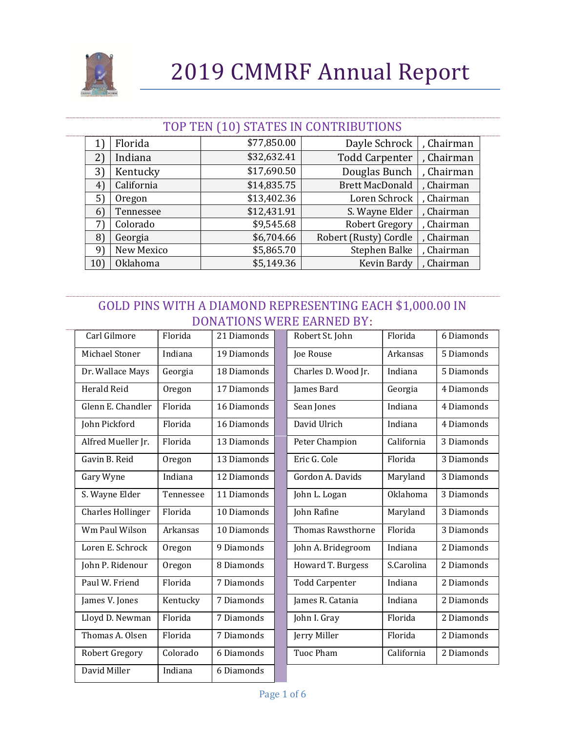

#### TOP TEN (10) STATES IN CONTRIBUTIONS

|                | Florida         | \$77,850.00 | Dayle Schrock          | , Chairman |
|----------------|-----------------|-------------|------------------------|------------|
| 2)             | Indiana         | \$32,632.41 | <b>Todd Carpenter</b>  | , Chairman |
| 3)             | Kentucky        | \$17,690.50 | Douglas Bunch          | , Chairman |
| $4^{\circ}$    | California      | \$14,835.75 | <b>Brett MacDonald</b> | , Chairman |
| 5)             | Oregon          | \$13,402.36 | Loren Schrock          | , Chairman |
| 6 <sup>°</sup> | Tennessee       | \$12,431.91 | S. Wayne Elder         | , Chairman |
| 7`             | Colorado        | \$9,545.68  | Robert Gregory         | , Chairman |
| $\{8\}$        | Georgia         | \$6,704.66  | Robert (Rusty) Cordle  | , Chairman |
| 9              | New Mexico      | \$5,865.70  | Stephen Balke          | , Chairman |
| 10)            | <b>Oklahoma</b> | \$5,149.36  | Kevin Bardy            | , Chairman |

### GOLD PINS WITH A DIAMOND REPRESENTING EACH \$1,000.00 IN DONATIONS WERE EARNED BY:

| Carl Gilmore             | Florida   | 21 Diamonds | Robert St. John          | Florida    | 6 Diamonds |
|--------------------------|-----------|-------------|--------------------------|------------|------------|
| Michael Stoner           | Indiana   | 19 Diamonds | Joe Rouse                | Arkansas   | 5 Diamonds |
| Dr. Wallace Mays         | Georgia   | 18 Diamonds | Charles D. Wood Jr.      | Indiana    | 5 Diamonds |
| <b>Herald Reid</b>       | Oregon    | 17 Diamonds | James Bard               | Georgia    | 4 Diamonds |
| Glenn E. Chandler        | Florida   | 16 Diamonds | Sean Jones               | Indiana    | 4 Diamonds |
| John Pickford            | Florida   | 16 Diamonds | David Ulrich             | Indiana    | 4 Diamonds |
| Alfred Mueller Jr.       | Florida   | 13 Diamonds | Peter Champion           | California | 3 Diamonds |
| Gavin B. Reid            | Oregon    | 13 Diamonds | Eric G. Cole             | Florida    | 3 Diamonds |
| Gary Wyne                | Indiana   | 12 Diamonds | Gordon A. Davids         | Maryland   | 3 Diamonds |
| S. Wayne Elder           | Tennessee | 11 Diamonds | John L. Logan            | Oklahoma   | 3 Diamonds |
| <b>Charles Hollinger</b> | Florida   | 10 Diamonds | John Rafine              | Maryland   | 3 Diamonds |
| Wm Paul Wilson           | Arkansas  | 10 Diamonds | <b>Thomas Rawsthorne</b> | Florida    | 3 Diamonds |
| Loren E. Schrock         | Oregon    | 9 Diamonds  | John A. Bridegroom       | Indiana    | 2 Diamonds |
| John P. Ridenour         | Oregon    | 8 Diamonds  | Howard T. Burgess        | S.Carolina | 2 Diamonds |
| Paul W. Friend           | Florida   | 7 Diamonds  | <b>Todd Carpenter</b>    | Indiana    | 2 Diamonds |
| James V. Jones           | Kentucky  | 7 Diamonds  | James R. Catania         | Indiana    | 2 Diamonds |
| Lloyd D. Newman          | Florida   | 7 Diamonds  | John I. Gray             | Florida    | 2 Diamonds |
| Thomas A. Olsen          | Florida   | 7 Diamonds  | Jerry Miller             | Florida    | 2 Diamonds |
| Robert Gregory           | Colorado  | 6 Diamonds  | <b>Tuoc Pham</b>         | California | 2 Diamonds |
| David Miller             | Indiana   | 6 Diamonds  |                          |            |            |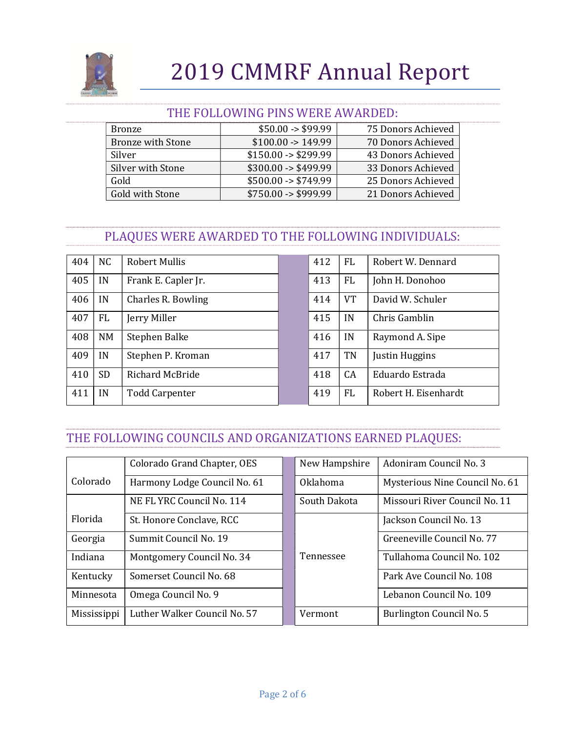

#### THE FOLLOWING PINS WERE AWARDED:

| Bronze                   | $$50.00 - $99.99$             | 75 Donors Achieved |
|--------------------------|-------------------------------|--------------------|
| <b>Bronze with Stone</b> | $$100.00 \rightarrow 149.99$  | 70 Donors Achieved |
| Silver                   | $$150.00 \rightarrow $299.99$ | 43 Donors Achieved |
| Silver with Stone        | $$300.00 \rightarrow $499.99$ | 33 Donors Achieved |
| Gold                     | $$500.00 \rightarrow $749.99$ | 25 Donors Achieved |
| Gold with Stone          | $$750.00 \rightarrow $999.99$ | 21 Donors Achieved |

## PLAQUES WERE AWARDED TO THE FOLLOWING INDIVIDUALS:

| 404 | <b>NC</b> | <b>Robert Mullis</b>  | 412 | <b>FL</b> | Robert W. Dennard    |
|-----|-----------|-----------------------|-----|-----------|----------------------|
| 405 | IN        | Frank E. Capler Jr.   | 413 | <b>FL</b> | John H. Donohoo      |
| 406 | IN        | Charles R. Bowling    | 414 | <b>VT</b> | David W. Schuler     |
| 407 | <b>FL</b> | Jerry Miller          | 415 | IN        | Chris Gamblin        |
| 408 | NM        | Stephen Balke         | 416 | IN        | Raymond A. Sipe      |
| 409 | IN        | Stephen P. Kroman     | 417 | TN        | Justin Huggins       |
| 410 | <b>SD</b> | Richard McBride       | 418 | CA        | Eduardo Estrada      |
| 411 | IN        | <b>Todd Carpenter</b> | 419 | FL.       | Robert H. Eisenhardt |

## THE FOLLOWING COUNCILS AND ORGANIZATIONS EARNED PLAQUES:

|             | Colorado Grand Chapter, OES  | New Hampshire   | Adoniram Council No. 3         |
|-------------|------------------------------|-----------------|--------------------------------|
| Colorado    | Harmony Lodge Council No. 61 | <b>Oklahoma</b> | Mysterious Nine Council No. 61 |
|             | NE FL YRC Council No. 114    | South Dakota    | Missouri River Council No. 11  |
| Florida     | St. Honore Conclave, RCC     |                 | Jackson Council No. 13         |
| Georgia     | Summit Council No. 19        |                 | Greeneville Council No. 77     |
| Indiana     | Montgomery Council No. 34    | Tennessee       | Tullahoma Council No. 102      |
| Kentucky    | Somerset Council No. 68      |                 | Park Ave Council No. 108       |
| Minnesota   | Omega Council No. 9          |                 | Lebanon Council No. 109        |
| Mississippi | Luther Walker Council No. 57 | Vermont         | Burlington Council No. 5       |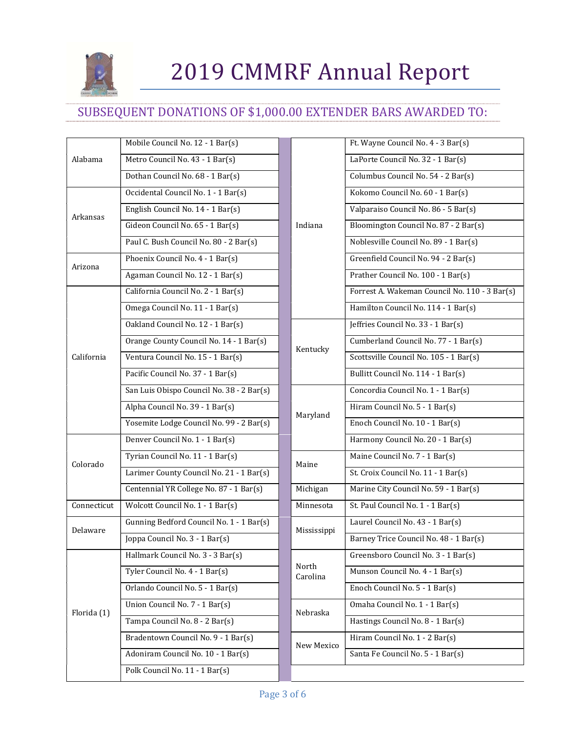

## SUBSEQUENT DONATIONS OF \$1,000.00 EXTENDER BARS AWARDED TO:

|             | Mobile Council No. 12 - 1 Bar(s)          |  |                   | Ft. Wayne Council No. 4 - 3 Bar(s)     |
|-------------|-------------------------------------------|--|-------------------|----------------------------------------|
| Alabama     | Metro Council No. 43 - 1 Bar(s)           |  |                   | LaPorte Council No. 32 - 1 Bar(s)      |
|             | Dothan Council No. 68 - 1 Bar(s)          |  |                   | Columbus Council No. 54 - 2 Bar(s)     |
|             | Occidental Council No. 1 - 1 Bar(s)       |  |                   | Kokomo Council No. 60 - 1 Bar(s)       |
| Arkansas    | English Council No. 14 - 1 Bar(s)         |  |                   | Valparaiso Council No. 86 - 5 Bar(s)   |
|             | Gideon Council No. 65 - 1 Bar(s)          |  | Indiana           | Bloomington Council No. 87 - 2 Bar(s)  |
|             | Paul C. Bush Council No. 80 - 2 Bar(s)    |  |                   | Noblesville Council No. 89 - 1 Bar(s)  |
| Arizona     | Phoenix Council No. 4 - 1 Bar(s)          |  |                   | Greenfield Council No. 94 - 2 Bar(s)   |
|             | Agaman Council No. 12 - 1 Bar(s)          |  |                   | Prather Council No. 100 - 1 Bar(s)     |
|             | California Council No. 2 - 1 Bar(s)       |  |                   | Forrest A. Wakeman Council No. 110     |
|             | Omega Council No. 11 - 1 Bar(s)           |  |                   | Hamilton Council No. 114 - 1 Bar(s)    |
|             | Oakland Council No. 12 - 1 Bar(s)         |  |                   | Jeffries Council No. 33 - 1 Bar(s)     |
|             | Orange County Council No. 14 - 1 Bar(s)   |  | Kentucky          | Cumberland Council No. 77 - 1 Bar(s)   |
| California  | Ventura Council No. 15 - 1 Bar(s)         |  |                   | Scottsville Council No. 105 - 1 Bar(s) |
|             | Pacific Council No. 37 - 1 Bar(s)         |  |                   | Bullitt Council No. 114 - 1 Bar(s)     |
|             | San Luis Obispo Council No. 38 - 2 Bar(s) |  |                   | Concordia Council No. 1 - 1 Bar(s)     |
|             | Alpha Council No. 39 - 1 Bar(s)           |  | Maryland          | Hiram Council No. 5 - 1 Bar(s)         |
|             | Yosemite Lodge Council No. 99 - 2 Bar(s)  |  |                   | Enoch Council No. 10 - 1 Bar(s)        |
|             | Denver Council No. 1 - 1 Bar(s)           |  |                   | Harmony Council No. 20 - 1 Bar(s)      |
| Colorado    | Tyrian Council No. 11 - 1 Bar(s)          |  | Maine             | Maine Council No. 7 - 1 Bar(s)         |
|             | Larimer County Council No. 21 - 1 Bar(s)  |  |                   | St. Croix Council No. 11 - 1 Bar(s)    |
|             | Centennial YR College No. 87 - 1 Bar(s)   |  | Michigan          | Marine City Council No. 59 - 1 Bar(s)  |
| Connecticut | Wolcott Council No. 1 - 1 Bar(s)          |  | Minnesota         | St. Paul Council No. 1 - 1 Bar(s)      |
| Delaware    | Gunning Bedford Council No. 1 - 1 Bar(s)  |  | Mississippi       | Laurel Council No. 43 - 1 Bar(s)       |
|             | Joppa Council No. 3 - 1 Bar(s)            |  |                   | Barney Trice Council No. 48 - 1 Bar(s) |
|             | Hallmark Council No. 3 - 3 Bar(s)         |  |                   | Greensboro Council No. 3 - 1 Bar(s)    |
|             | Tyler Council No. 4 - 1 Bar(s)            |  | North<br>Carolina | Munson Council No. 4 - 1 Bar(s)        |
|             | Orlando Council No. 5 - 1 Bar(s)          |  |                   | Enoch Council No. 5 - 1 Bar(s)         |
| Florida (1) | Union Council No. 7 - 1 Bar(s)            |  | Nebraska          | Omaha Council No. 1 - 1 Bar(s)         |
|             | Tampa Council No. 8 - 2 Bar(s)            |  |                   | Hastings Council No. 8 - 1 Bar(s)      |
|             | Bradentown Council No. 9 - 1 Bar(s)       |  | New Mexico        | Hiram Council No. 1 - 2 Bar(s)         |
|             | Adoniram Council No. 10 - 1 Bar(s)        |  |                   | Santa Fe Council No. 5 - 1 Bar(s)      |
|             | Polk Council No. 11 - 1 Bar(s)            |  |                   |                                        |

| Mobile Council No. 12 - 1 Bar(s)          |                   | Ft. Wayne Council No. 4 - 3 Bar(s)            |
|-------------------------------------------|-------------------|-----------------------------------------------|
| Metro Council No. 43 - 1 Bar(s)           |                   | LaPorte Council No. 32 - 1 Bar(s)             |
| Dothan Council No. 68 - 1 Bar(s)          |                   | Columbus Council No. 54 - 2 Bar(s)            |
| Occidental Council No. 1 - 1 Bar(s)       |                   | Kokomo Council No. 60 - 1 Bar(s)              |
| English Council No. 14 - 1 Bar(s)         |                   | Valparaiso Council No. 86 - 5 Bar(s)          |
| Gideon Council No. 65 - 1 Bar(s)          | Indiana           | Bloomington Council No. 87 - 2 Bar(s)         |
| Paul C. Bush Council No. 80 - 2 Bar(s)    |                   | Noblesville Council No. 89 - 1 Bar(s)         |
| Phoenix Council No. 4 - 1 Bar(s)          |                   | Greenfield Council No. 94 - 2 Bar(s)          |
| Agaman Council No. 12 - 1 Bar(s)          |                   | Prather Council No. 100 - 1 Bar(s)            |
| California Council No. 2 - 1 Bar(s)       |                   | Forrest A. Wakeman Council No. 110 - 3 Bar(s) |
| Omega Council No. 11 - 1 Bar(s)           |                   | Hamilton Council No. 114 - 1 Bar(s)           |
| Oakland Council No. 12 - 1 Bar(s)         |                   | Jeffries Council No. 33 - 1 Bar(s)            |
| Orange County Council No. 14 - 1 Bar(s)   | Kentucky          | Cumberland Council No. 77 - 1 Bar(s)          |
| Ventura Council No. 15 - 1 Bar(s)         |                   | Scottsville Council No. 105 - 1 Bar(s)        |
| Pacific Council No. 37 - 1 Bar(s)         |                   | Bullitt Council No. 114 - 1 Bar(s)            |
| San Luis Obispo Council No. 38 - 2 Bar(s) |                   | Concordia Council No. 1 - 1 Bar(s)            |
| Alpha Council No. 39 - 1 Bar(s)           | Maryland          | Hiram Council No. 5 - 1 Bar(s)                |
| Yosemite Lodge Council No. 99 - 2 Bar(s)  |                   | Enoch Council No. 10 - 1 Bar(s)               |
| Denver Council No. 1 - 1 Bar(s)           |                   | Harmony Council No. 20 - 1 Bar(s)             |
| Tyrian Council No. 11 - 1 Bar(s)          | Maine             | Maine Council No. 7 - 1 Bar(s)                |
| Larimer County Council No. 21 - 1 Bar(s)  |                   | St. Croix Council No. 11 - 1 Bar(s)           |
| Centennial YR College No. 87 - 1 Bar(s)   | Michigan          | Marine City Council No. 59 - 1 Bar(s)         |
| Wolcott Council No. 1 - 1 Bar(s)          | Minnesota         | St. Paul Council No. 1 - 1 Bar(s)             |
| Gunning Bedford Council No. 1 - 1 Bar(s)  | Mississippi       | Laurel Council No. 43 - 1 Bar(s)              |
| Joppa Council No. 3 - 1 Bar(s)            |                   | Barney Trice Council No. 48 - 1 Bar(s)        |
| Hallmark Council No. 3 - 3 Bar(s)         |                   | Greensboro Council No. 3 - 1 Bar(s)           |
| Tyler Council No. 4 - 1 Bar(s)            | North<br>Carolina | Munson Council No. 4 - 1 Bar(s)               |
| Orlando Council No. 5 - 1 Bar(s)          |                   | Enoch Council No. 5 - 1 Bar(s)                |
| Union Council No. 7 - 1 Bar(s)            | Nebraska          | Omaha Council No. 1 - 1 Bar(s)                |
| Tampa Council No. 8 - 2 Bar(s)            |                   | Hastings Council No. 8 - 1 Bar(s)             |
| Bradentown Council No. 9 - 1 Bar(s)       | New Mexico        | Hiram Council No. 1 - 2 Bar(s)                |
| Adoniram Council No. 10 - 1 Bar(s)        |                   | Santa Fe Council No. 5 - 1 Bar(s)             |
| Polk Council No. 11 - 1 Bar(s)            |                   |                                               |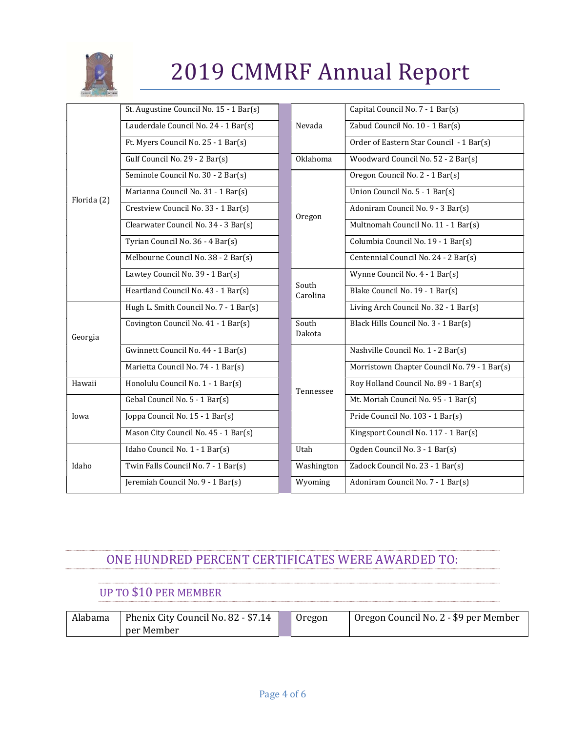

|             | St. Augustine Council No. 15 - 1 Bar(s) |                   | Capital Council No. 7 - 1 Bar(s)             |
|-------------|-----------------------------------------|-------------------|----------------------------------------------|
|             | Lauderdale Council No. 24 - 1 Bar(s)    | Nevada            | Zabud Council No. 10 - 1 Bar(s)              |
|             | Ft. Myers Council No. 25 - 1 Bar(s)     |                   | Order of Eastern Star Council - 1 Bar(s)     |
|             | Gulf Council No. 29 - 2 Bar(s)          | Oklahoma          | Woodward Council No. 52 - 2 Bar(s)           |
|             | Seminole Council No. 30 - 2 Bar(s)      |                   | Oregon Council No. 2 - 1 Bar(s)              |
| Florida (2) | Marianna Council No. 31 - 1 Bar(s)      |                   | Union Council No. 5 - 1 Bar(s)               |
|             | Crestview Council No. 33 - 1 Bar(s)     | Oregon            | Adoniram Council No. 9 - 3 Bar(s)            |
|             | Clearwater Council No. 34 - 3 Bar(s)    |                   | Multnomah Council No. 11 - 1 Bar(s)          |
|             | Tyrian Council No. 36 - 4 Bar(s)        |                   | Columbia Council No. 19 - 1 Bar(s)           |
|             | Melbourne Council No. 38 - 2 Bar(s)     |                   | Centennial Council No. 24 - 2 Bar(s)         |
|             | Lawtey Council No. 39 - 1 Bar(s)        |                   | Wynne Council No. 4 - 1 Bar(s)               |
|             | Heartland Council No. 43 - 1 Bar(s)     | South<br>Carolina | Blake Council No. 19 - 1 Bar(s)              |
|             | Hugh L. Smith Council No. 7 - 1 Bar(s)  |                   | Living Arch Council No. 32 - 1 Bar(s)        |
| Georgia     | Covington Council No. 41 - 1 Bar(s)     | South<br>Dakota   | Black Hills Council No. 3 - 1 Bar(s)         |
|             | Gwinnett Council No. 44 - 1 Bar(s)      |                   | Nashville Council No. 1 - 2 Bar(s)           |
|             | Marietta Council No. 74 - 1 Bar(s)      |                   | Morristown Chapter Council No. 79 - 1 Bar(s) |
| Hawaii      | Honolulu Council No. 1 - 1 Bar(s)       | Tennessee         | Roy Holland Council No. 89 - 1 Bar(s)        |
|             | Gebal Council No. 5 - 1 Bar(s)          |                   | Mt. Moriah Council No. 95 - 1 Bar(s)         |
| Iowa        | Joppa Council No. 15 - 1 Bar(s)         |                   | Pride Council No. 103 - 1 Bar(s)             |
|             | Mason City Council No. 45 - 1 Bar(s)    |                   | Kingsport Council No. 117 - 1 Bar(s)         |
|             | Idaho Council No. 1 - 1 Bar(s)          | Utah              | Ogden Council No. 3 - 1 Bar(s)               |
| Idaho       | Twin Falls Council No. 7 - 1 Bar(s)     | Washington        | Zadock Council No. 23 - 1 Bar(s)             |
|             | Jeremiah Council No. 9 - 1 Bar(s)       | Wyoming           | Adoniram Council No. 7 - 1 Bar(s)            |

## ONE HUNDRED PERCENT CERTIFICATES WERE AWARDED TO:

## UP TO \$10 PER MEMBER

| Alabama | Phenix City Council No. 82 - \$7.14 | Oregon | Oregon Council No. 2 - \$9 per Member |
|---------|-------------------------------------|--------|---------------------------------------|
|         | per Member                          |        |                                       |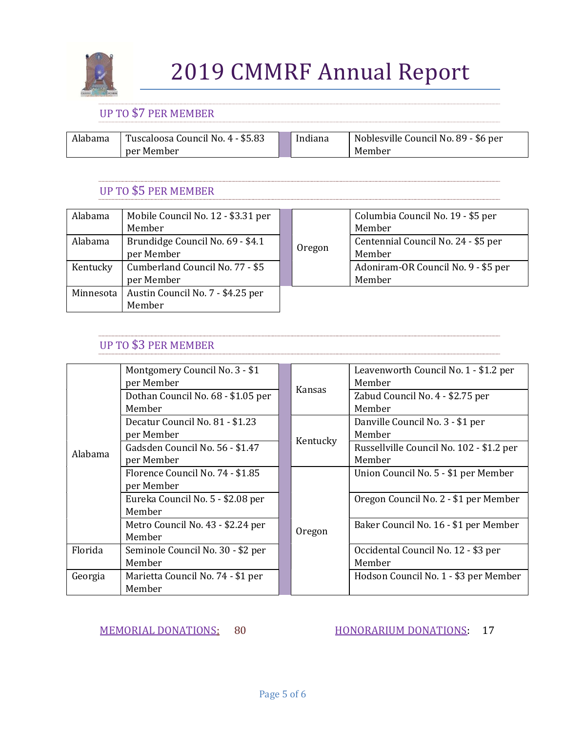

### UP TO \$7 PER MEMBER

| Alabama | Tuscaloosa Council No. 4 - \$5.83 | Indiana | Noblesville Council No. 89 - \$6 per |
|---------|-----------------------------------|---------|--------------------------------------|
|         | per Member                        |         | Member                               |

### UP TO \$5 PER MEMBER

| Alabama   | Mobile Council No. 12 - \$3.31 per |  |        | Columbia Council No. 19 - \$5 per   |
|-----------|------------------------------------|--|--------|-------------------------------------|
|           | Member                             |  |        | Member                              |
| Alabama   | Brundidge Council No. 69 - \$4.1   |  |        | Centennial Council No. 24 - \$5 per |
|           | per Member                         |  | Oregon | Member                              |
| Kentucky  | Cumberland Council No. 77 - \$5    |  |        | Adoniram-OR Council No. 9 - \$5 per |
|           | per Member                         |  |        | Member                              |
| Minnesota | Austin Council No. 7 - \$4.25 per  |  |        |                                     |
|           | Member                             |  |        |                                     |

### UP TO \$3 PER MEMBER

|         | Montgomery Council No. 3 - \$1     |  |          | Leavenworth Council No. 1 - \$1.2 per    |
|---------|------------------------------------|--|----------|------------------------------------------|
|         | per Member                         |  | Kansas   | Member                                   |
|         | Dothan Council No. 68 - \$1.05 per |  |          | Zabud Council No. 4 - \$2.75 per         |
|         | Member                             |  |          | Member                                   |
|         | Decatur Council No. 81 - \$1.23    |  |          | Danville Council No. 3 - \$1 per         |
|         | per Member                         |  |          | Member                                   |
| Alabama | Gadsden Council No. 56 - \$1.47    |  | Kentucky | Russellville Council No. 102 - \$1.2 per |
|         | per Member                         |  |          | Member                                   |
|         | Florence Council No. 74 - \$1.85   |  |          | Union Council No. 5 - \$1 per Member     |
|         | per Member                         |  |          |                                          |
|         | Eureka Council No. 5 - \$2.08 per  |  |          | Oregon Council No. 2 - \$1 per Member    |
|         | Member                             |  |          |                                          |
|         | Metro Council No. 43 - \$2.24 per  |  |          | Baker Council No. 16 - \$1 per Member    |
|         | Member                             |  | Oregon   |                                          |
| Florida | Seminole Council No. 30 - \$2 per  |  |          | Occidental Council No. 12 - \$3 per      |
| Georgia | Member                             |  |          | Member                                   |
|         | Marietta Council No. 74 - \$1 per  |  |          | Hodson Council No. 1 - \$3 per Member    |
|         | Member                             |  |          |                                          |

MEMORIAL DONATIONS: 80 HONORARIUM DONATIONS: 17